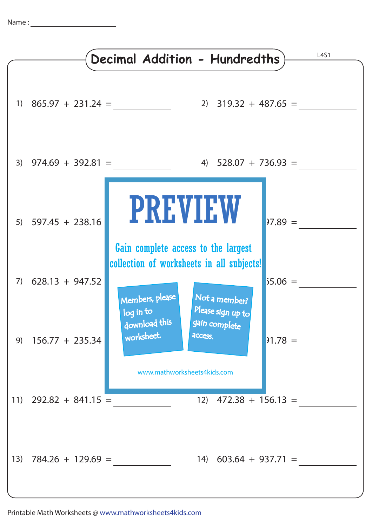